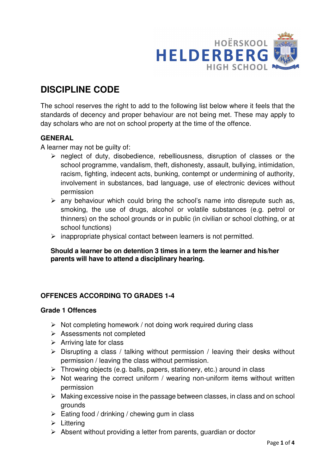

# **DISCIPLINE CODE**

The school reserves the right to add to the following list below where it feels that the standards of decency and proper behaviour are not being met. These may apply to day scholars who are not on school property at the time of the offence.

# **GENERAL**

A learner may not be guilty of:

- $\triangleright$  neglect of duty, disobedience, rebelliousness, disruption of classes or the school programme, vandalism, theft, dishonesty, assault, bullying, intimidation, racism, fighting, indecent acts, bunking, contempt or undermining of authority, involvement in substances, bad language, use of electronic devices without permission
- $\triangleright$  any behaviour which could bring the school's name into disrepute such as, smoking, the use of drugs, alcohol or volatile substances (e.g. petrol or thinners) on the school grounds or in public (in civilian or school clothing, or at school functions)
- $\triangleright$  inappropriate physical contact between learners is not permitted.

## **Should a learner be on detention 3 times in a term the learner and his/her parents will have to attend a disciplinary hearing.**

## **OFFENCES ACCORDING TO GRADES 1-4**

#### **Grade 1 Offences**

- $\triangleright$  Not completing homework / not doing work required during class
- Assessments not completed
- $\triangleright$  Arriving late for class
- $\triangleright$  Disrupting a class / talking without permission / leaving their desks without permission / leaving the class without permission.
- $\triangleright$  Throwing objects (e.g. balls, papers, stationery, etc.) around in class
- $\triangleright$  Not wearing the correct uniform / wearing non-uniform items without written permission
- $\triangleright$  Making excessive noise in the passage between classes, in class and on school grounds
- $\triangleright$  Eating food / drinking / chewing gum in class
- $\triangleright$  Littering
- $\triangleright$  Absent without providing a letter from parents, guardian or doctor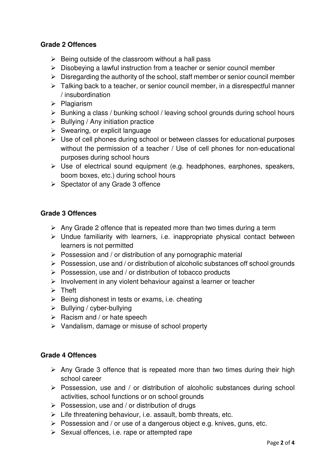### **Grade 2 Offences**

- $\triangleright$  Being outside of the classroom without a hall pass
- $\triangleright$  Disobeying a lawful instruction from a teacher or senior council member
- $\triangleright$  Disregarding the authority of the school, staff member or senior council member
- $\triangleright$  Talking back to a teacher, or senior council member, in a disrespectful manner / insubordination
- $\triangleright$  Plagiarism
- $\triangleright$  Bunking a class / bunking school / leaving school grounds during school hours
- $\triangleright$  Bullying / Any initiation practice
- $\triangleright$  Swearing, or explicit language
- $\triangleright$  Use of cell phones during school or between classes for educational purposes without the permission of a teacher / Use of cell phones for non-educational purposes during school hours
- $\triangleright$  Use of electrical sound equipment (e.g. headphones, earphones, speakers, boom boxes, etc.) during school hours
- $\triangleright$  Spectator of any Grade 3 offence

#### **Grade 3 Offences**

- $\triangleright$  Any Grade 2 offence that is repeated more than two times during a term
- $\triangleright$  Undue familiarity with learners, i.e. inappropriate physical contact between learners is not permitted
- $\triangleright$  Possession and / or distribution of any pornographic material
- $\triangleright$  Possession, use and / or distribution of alcoholic substances off school grounds
- $\triangleright$  Possession, use and / or distribution of tobacco products
- $\triangleright$  Involvement in any violent behaviour against a learner or teacher
- $\triangleright$  Theft
- $\triangleright$  Being dishonest in tests or exams, i.e. cheating
- $\triangleright$  Bullying / cyber-bullying
- $\triangleright$  Racism and / or hate speech
- $\triangleright$  Vandalism, damage or misuse of school property

#### **Grade 4 Offences**

- $\triangleright$  Any Grade 3 offence that is repeated more than two times during their high school career
- $\triangleright$  Possession, use and / or distribution of alcoholic substances during school activities, school functions or on school grounds
- $\triangleright$  Possession, use and / or distribution of drugs
- $\triangleright$  Life threatening behaviour, i.e. assault, bomb threats, etc.
- $\triangleright$  Possession and / or use of a dangerous object e.g. knives, guns, etc.
- $\triangleright$  Sexual offences, i.e. rape or attempted rape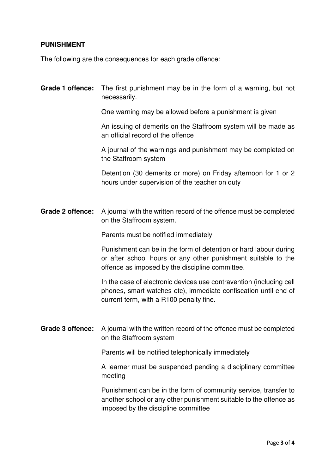## **PUNISHMENT**

The following are the consequences for each grade offence:

# **Grade 1 offence:** The first punishment may be in the form of a warning, but not necessarily.

One warning may be allowed before a punishment is given

An issuing of demerits on the Staffroom system will be made as an official record of the offence

A journal of the warnings and punishment may be completed on the Staffroom system

Detention (30 demerits or more) on Friday afternoon for 1 or 2 hours under supervision of the teacher on duty

**Grade 2 offence:** A journal with the written record of the offence must be completed on the Staffroom system.

Parents must be notified immediately

 Punishment can be in the form of detention or hard labour during or after school hours or any other punishment suitable to the offence as imposed by the discipline committee.

 In the case of electronic devices use contravention (including cell phones, smart watches etc), immediate confiscation until end of current term, with a R100 penalty fine.

**Grade 3 offence:** A journal with the written record of the offence must be completed on the Staffroom system

Parents will be notified telephonically immediately

A learner must be suspended pending a disciplinary committee meeting

 Punishment can be in the form of community service, transfer to another school or any other punishment suitable to the offence as imposed by the discipline committee